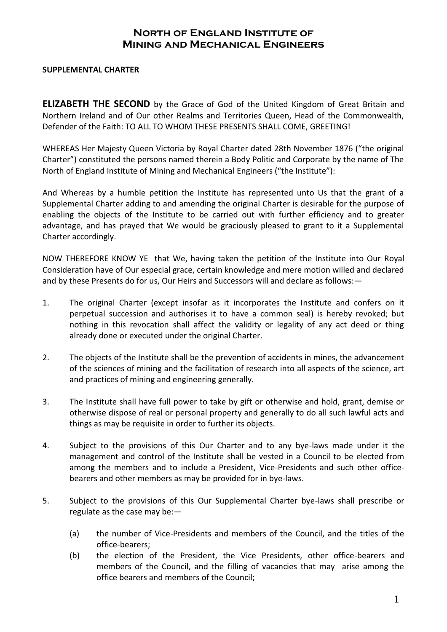## **North of England Institute of Mining and Mechanical Engineers**

## **SUPPLEMENTAL CHARTER**

**ELIZABETH THE SECOND** by the Grace of God of the United Kingdom of Great Britain and Northern Ireland and of Our other Realms and Territories Queen, Head of the Commonwealth, Defender of the Faith: TO ALL TO WHOM THESE PRESENTS SHALL COME, GREETING!

WHEREAS Her Majesty Queen Victoria by Royal Charter dated 28th November 1876 ("the original Charter") constituted the persons named therein a Body Politic and Corporate by the name of The North of England Institute of Mining and Mechanical Engineers ("the Institute"):

And Whereas by a humble petition the Institute has represented unto Us that the grant of a Supplemental Charter adding to and amending the original Charter is desirable for the purpose of enabling the objects of the Institute to be carried out with further efficiency and to greater advantage, and has prayed that We would be graciously pleased to grant to it a Supplemental Charter accordingly.

NOW THEREFORE KNOW YE that We, having taken the petition of the Institute into Our Royal Consideration have of Our especial grace, certain knowledge and mere motion willed and declared and by these Presents do for us, Our Heirs and Successors will and declare as follows:—

- 1. The original Charter (except insofar as it incorporates the Institute and confers on it perpetual succession and authorises it to have a common seal) is hereby revoked; but nothing in this revocation shall affect the validity or legality of any act deed or thing already done or executed under the original Charter.
- 2. The objects of the Institute shall be the prevention of accidents in mines, the advancement of the sciences of mining and the facilitation of research into all aspects of the science, art and practices of mining and engineering generally.
- 3. The Institute shall have full power to take by gift or otherwise and hold, grant, demise or otherwise dispose of real or personal property and generally to do all such lawful acts and things as may be requisite in order to further its objects.
- 4. Subject to the provisions of this Our Charter and to any bye-laws made under it the management and control of the Institute shall be vested in a Council to be elected from among the members and to include a President, Vice-Presidents and such other officebearers and other members as may be provided for in bye-laws.
- 5. Subject to the provisions of this Our Supplemental Charter bye-laws shall prescribe or regulate as the case may be:—
	- (a) the number of Vice-Presidents and members of the Council, and the titles of the office-bearers;
	- (b) the election of the President, the Vice Presidents, other office-bearers and members of the Council, and the filling of vacancies that may arise among the office bearers and members of the Council;